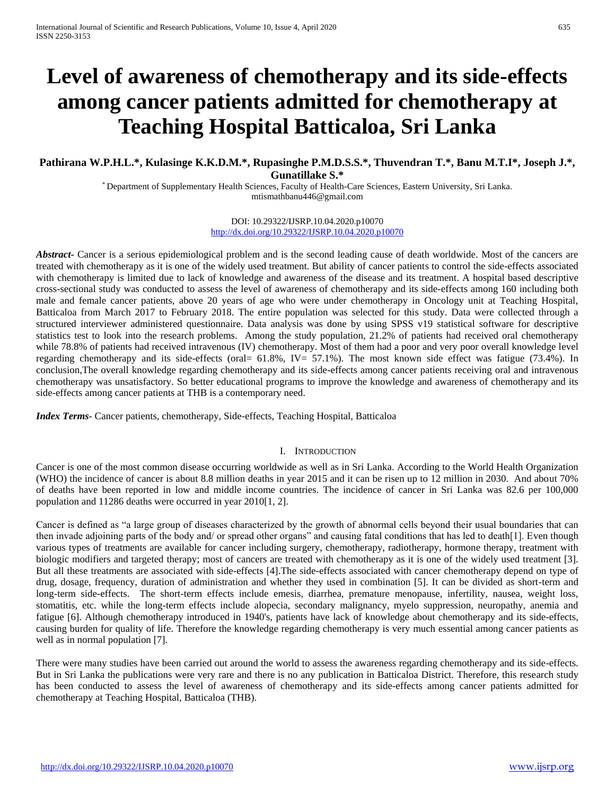# **Level of awareness of chemotherapy and its side-effects among cancer patients admitted for chemotherapy at Teaching Hospital Batticaloa, Sri Lanka**

## **Pathirana W.P.H.L.\*, Kulasinge K.K.D.M.\*, Rupasinghe P.M.D.S.S.\*, Thuvendran T.\*, Banu M.T.I\*, Joseph J.\*, Gunatillake S.\***

\* Department of Supplementary Health Sciences, Faculty of Health-Care Sciences, Eastern University, Sri Lanka. mtismathbanu446@gmail.com

> DOI: 10.29322/IJSRP.10.04.2020.p10070 <http://dx.doi.org/10.29322/IJSRP.10.04.2020.p10070>

*Abstract* Cancer is a serious epidemiological problem and is the second leading cause of death worldwide. Most of the cancers are treated with chemotherapy as it is one of the widely used treatment. But ability of cancer patients to control the side-effects associated with chemotherapy is limited due to lack of knowledge and awareness of the disease and its treatment. A hospital based descriptive cross-sectional study was conducted to assess the level of awareness of chemotherapy and its side-effects among 160 including both male and female cancer patients, above 20 years of age who were under chemotherapy in Oncology unit at Teaching Hospital, Batticaloa from March 2017 to February 2018. The entire population was selected for this study. Data were collected through a structured interviewer administered questionnaire. Data analysis was done by using SPSS v19 statistical software for descriptive statistics test to look into the research problems. Among the study population, 21.2% of patients had received oral chemotherapy while 78.8% of patients had received intravenous (IV) chemotherapy. Most of them had a poor and very poor overall knowledge level regarding chemotherapy and its side-effects (oral= 61.8%, IV= 57.1%). The most known side effect was fatigue (73.4%). In conclusion,The overall knowledge regarding chemotherapy and its side-effects among cancer patients receiving oral and intravenous chemotherapy was unsatisfactory. So better educational programs to improve the knowledge and awareness of chemotherapy and its side-effects among cancer patients at THB is a contemporary need.

*Index Terms*- Cancer patients, chemotherapy, Side-effects, Teaching Hospital, Batticaloa

#### I. INTRODUCTION

Cancer is one of the most common disease occurring worldwide as well as in Sri Lanka. According to the World Health Organization (WHO) the incidence of cancer is about 8.8 million deaths in year 2015 and it can be risen up to 12 million in 2030. And about 70% of deaths have been reported in low and middle income countries. The incidence of cancer in Sri Lanka was 82.6 per 100,000 population and 11286 deaths were occurred in year 2010[1, 2].

Cancer is defined as "a large group of diseases characterized by the growth of abnormal cells beyond their usual boundaries that can then invade adjoining parts of the body and/ or spread other organs" and causing fatal conditions that has led to death[1]. Even though various types of treatments are available for cancer including surgery, chemotherapy, radiotherapy, hormone therapy, treatment with biologic modifiers and targeted therapy; most of cancers are treated with chemotherapy as it is one of the widely used treatment [3]. But all these treatments are associated with side-effects [4].The side-effects associated with cancer chemotherapy depend on type of drug, dosage, frequency, duration of administration and whether they used in combination [5]. It can be divided as short-term and long-term side-effects. The short-term effects include emesis, diarrhea, premature menopause, infertility, nausea, weight loss, stomatitis, etc. while the long-term effects include alopecia, secondary malignancy, myelo suppression, neuropathy, anemia and fatigue [6]. Although chemotherapy introduced in 1940's, patients have lack of knowledge about chemotherapy and its side-effects, causing burden for quality of life. Therefore the knowledge regarding chemotherapy is very much essential among cancer patients as well as in normal population [7].

There were many studies have been carried out around the world to assess the awareness regarding chemotherapy and its side-effects. But in Sri Lanka the publications were very rare and there is no any publication in Batticaloa District. Therefore, this research study has been conducted to assess the level of awareness of chemotherapy and its side-effects among cancer patients admitted for chemotherapy at Teaching Hospital, Batticaloa (THB).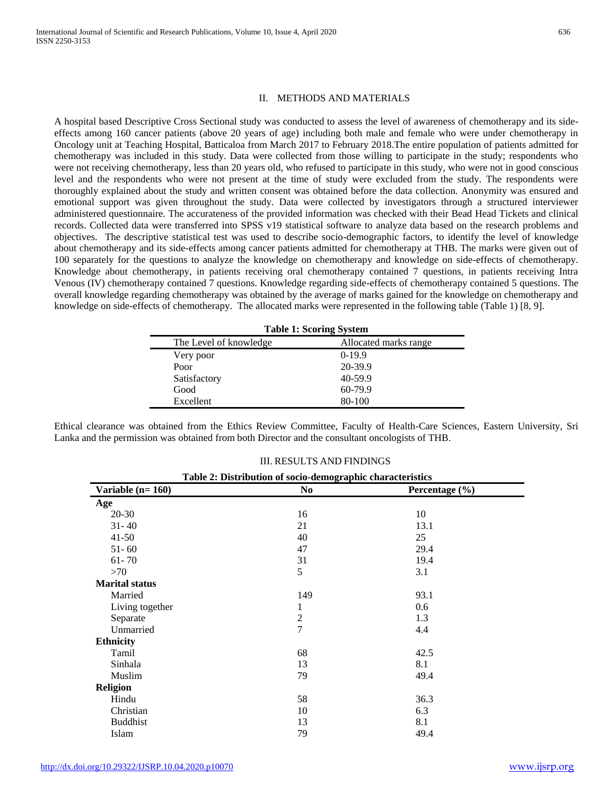## II. METHODS AND MATERIALS

A hospital based Descriptive Cross Sectional study was conducted to assess the level of awareness of chemotherapy and its sideeffects among 160 cancer patients (above 20 years of age) including both male and female who were under chemotherapy in Oncology unit at Teaching Hospital, Batticaloa from March 2017 to February 2018.The entire population of patients admitted for chemotherapy was included in this study. Data were collected from those willing to participate in the study; respondents who were not receiving chemotherapy, less than 20 years old, who refused to participate in this study, who were not in good conscious level and the respondents who were not present at the time of study were excluded from the study. The respondents were thoroughly explained about the study and written consent was obtained before the data collection. Anonymity was ensured and emotional support was given throughout the study. Data were collected by investigators through a structured interviewer administered questionnaire. The accurateness of the provided information was checked with their Bead Head Tickets and clinical records. Collected data were transferred into SPSS v19 statistical software to analyze data based on the research problems and objectives. The descriptive statistical test was used to describe socio-demographic factors, to identify the level of knowledge about chemotherapy and its side-effects among cancer patients admitted for chemotherapy at THB. The marks were given out of 100 separately for the questions to analyze the knowledge on chemotherapy and knowledge on side-effects of chemotherapy. Knowledge about chemotherapy, in patients receiving oral chemotherapy contained 7 questions, in patients receiving Intra Venous (IV) chemotherapy contained 7 questions. Knowledge regarding side-effects of chemotherapy contained 5 questions. The overall knowledge regarding chemotherapy was obtained by the average of marks gained for the knowledge on chemotherapy and knowledge on side-effects of chemotherapy. The allocated marks were represented in the following table (Table 1) [8, 9].

| <b>Table 1: Scoring System</b> |                       |  |  |
|--------------------------------|-----------------------|--|--|
| The Level of knowledge         | Allocated marks range |  |  |
| Very poor                      | $0-19.9$              |  |  |
| Poor                           | 20-39.9               |  |  |
| Satisfactory                   | 40-59.9               |  |  |
| Good                           | 60-79.9               |  |  |
| Excellent                      | 80-100                |  |  |

Ethical clearance was obtained from the Ethics Review Committee, Faculty of Health-Care Sciences, Eastern University, Sri Lanka and the permission was obtained from both Director and the consultant oncologists of THB.

| Table 2: Distribution of socio-demographic characteristics |                |                |  |
|------------------------------------------------------------|----------------|----------------|--|
| Variable $(n=160)$                                         | N <sub>0</sub> | Percentage (%) |  |
| Age                                                        |                |                |  |
| $20 - 30$                                                  | 16             | 10             |  |
| $31 - 40$                                                  | 21             | 13.1           |  |
| $41 - 50$                                                  | 40             | 25             |  |
| $51 - 60$                                                  | 47             | 29.4           |  |
| $61 - 70$                                                  | 31             | 19.4           |  |
| >70                                                        | 5              | 3.1            |  |
| <b>Marital status</b>                                      |                |                |  |
| Married                                                    | 149            | 93.1           |  |
| Living together                                            | 1              | 0.6            |  |
| Separate                                                   | $\sqrt{2}$     | 1.3            |  |
| Unmarried                                                  | $\overline{7}$ | 4.4            |  |
| <b>Ethnicity</b>                                           |                |                |  |
| Tamil                                                      | 68             | 42.5           |  |
| Sinhala                                                    | 13             | 8.1            |  |
| Muslim                                                     | 79             | 49.4           |  |
| <b>Religion</b>                                            |                |                |  |
| Hindu                                                      | 58             | 36.3           |  |
| Christian                                                  | 10             | 6.3            |  |
| <b>Buddhist</b>                                            | 13             | 8.1            |  |
| Islam                                                      | 79             | 49.4           |  |

### III. RESULTS AND FINDINGS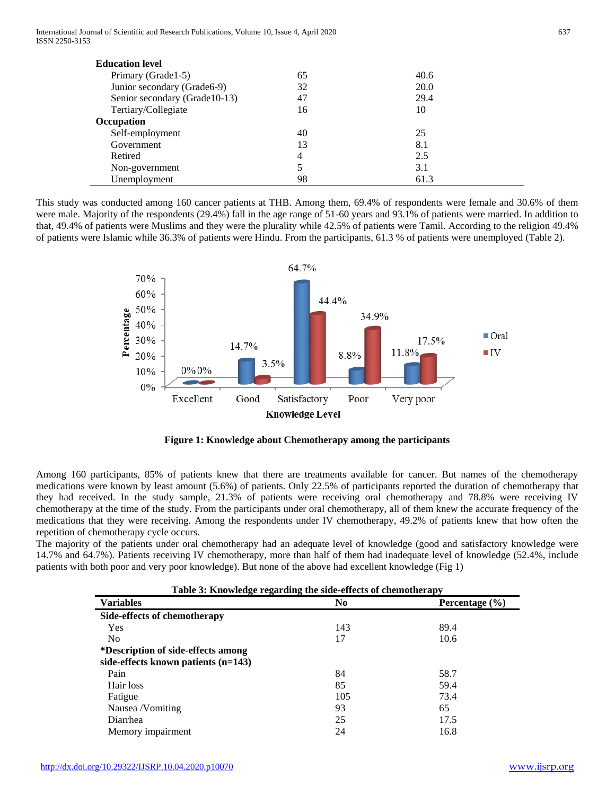International Journal of Scientific and Research Publications, Volume 10, Issue 4, April 2020 637 ISSN 2250-3153

| <b>Education level</b>         |    |             |  |
|--------------------------------|----|-------------|--|
| Primary (Grade1-5)             | 65 | 40.6        |  |
| Junior secondary (Grade6-9)    | 32 | <b>20.0</b> |  |
| Senior secondary (Grade 10-13) | 47 | 29.4        |  |
| Tertiary/Collegiate            | 16 | 10          |  |
| Occupation                     |    |             |  |
| Self-employment                | 40 | 25          |  |
| Government                     | 13 | 8.1         |  |
| Retired                        | 4  | 2.5         |  |
| Non-government                 | 5  | 3.1         |  |
| Unemployment                   | 98 | 61.3        |  |

This study was conducted among 160 cancer patients at THB. Among them, 69.4% of respondents were female and 30.6% of them were male. Majority of the respondents (29.4%) fall in the age range of 51-60 years and 93.1% of patients were married. In addition to that, 49.4% of patients were Muslims and they were the plurality while 42.5% of patients were Tamil. According to the religion 49.4% of patients were Islamic while 36.3% of patients were Hindu. From the participants, 61.3 % of patients were unemployed (Table 2).



**Figure 1: Knowledge about Chemotherapy among the participants**

Among 160 participants, 85% of patients knew that there are treatments available for cancer. But names of the chemotherapy medications were known by least amount (5.6%) of patients. Only 22.5% of participants reported the duration of chemotherapy that they had received. In the study sample, 21.3% of patients were receiving oral chemotherapy and 78.8% were receiving IV chemotherapy at the time of the study. From the participants under oral chemotherapy, all of them knew the accurate frequency of the medications that they were receiving. Among the respondents under IV chemotherapy, 49.2% of patients knew that how often the repetition of chemotherapy cycle occurs.

The majority of the patients under oral chemotherapy had an adequate level of knowledge (good and satisfactory knowledge were 14.7% and 64.7%). Patients receiving IV chemotherapy, more than half of them had inadequate level of knowledge (52.4%, include patients with both poor and very poor knowledge). But none of the above had excellent knowledge (Fig 1)

| Table 3: Knowledge regarding the side-effects of chemotherapy |                |                    |  |
|---------------------------------------------------------------|----------------|--------------------|--|
| <b>Variables</b>                                              | N <sub>0</sub> | Percentage $(\% )$ |  |
| Side-effects of chemotherapy                                  |                |                    |  |
| <b>Yes</b>                                                    | 143            | 89.4               |  |
| N <sub>0</sub>                                                | 17             | 10.6               |  |
| *Description of side-effects among                            |                |                    |  |
| side-effects known patients $(n=143)$                         |                |                    |  |
| Pain                                                          | 84             | 58.7               |  |
| Hair loss                                                     | 85             | 59.4               |  |
| Fatigue                                                       | 105            | 73.4               |  |
| Nausea /Vomiting                                              | 93             | 65                 |  |
| Diarrhea                                                      | 25             | 17.5               |  |
| Memory impairment                                             | 24             | 16.8               |  |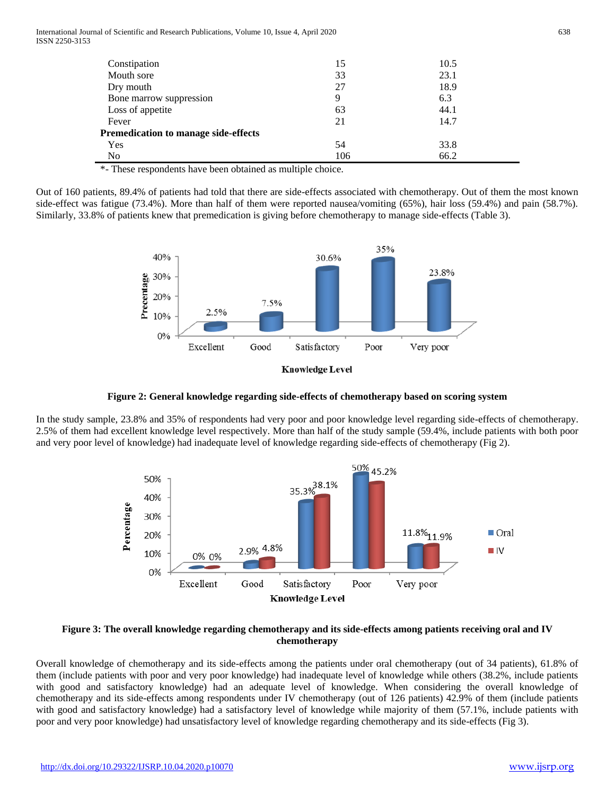International Journal of Scientific and Research Publications, Volume 10, Issue 4, April 2020 638 ISSN 2250-3153

| Constipation                         | 15  | 10.5 |  |
|--------------------------------------|-----|------|--|
| Mouth sore                           | 33  | 23.1 |  |
| Dry mouth                            | 27  | 18.9 |  |
| Bone marrow suppression              | 9   | 6.3  |  |
| Loss of appetite                     | 63  | 44.1 |  |
| Fever                                | 21  | 14.7 |  |
| Premedication to manage side-effects |     |      |  |
| Yes                                  | 54  | 33.8 |  |
| No                                   | 106 | 66.2 |  |

\*- These respondents have been obtained as multiple choice.

Out of 160 patients, 89.4% of patients had told that there are side-effects associated with chemotherapy. Out of them the most known side-effect was fatigue (73.4%). More than half of them were reported nausea/vomiting (65%), hair loss (59.4%) and pain (58.7%). Similarly, 33.8% of patients knew that premedication is giving before chemotherapy to manage side-effects (Table 3).



**Figure 2: General knowledge regarding side-effects of chemotherapy based on scoring system**

In the study sample, 23.8% and 35% of respondents had very poor and poor knowledge level regarding side-effects of chemotherapy. 2.5% of them had excellent knowledge level respectively. More than half of the study sample (59.4%, include patients with both poor and very poor level of knowledge) had inadequate level of knowledge regarding side-effects of chemotherapy (Fig 2).



## **Figure 3: The overall knowledge regarding chemotherapy and its side-effects among patients receiving oral and IV chemotherapy**

Overall knowledge of chemotherapy and its side-effects among the patients under oral chemotherapy (out of 34 patients), 61.8% of them (include patients with poor and very poor knowledge) had inadequate level of knowledge while others (38.2%, include patients with good and satisfactory knowledge) had an adequate level of knowledge. When considering the overall knowledge of chemotherapy and its side-effects among respondents under IV chemotherapy (out of 126 patients) 42.9% of them (include patients with good and satisfactory knowledge) had a satisfactory level of knowledge while majority of them (57.1%, include patients with poor and very poor knowledge) had unsatisfactory level of knowledge regarding chemotherapy and its side-effects (Fig 3).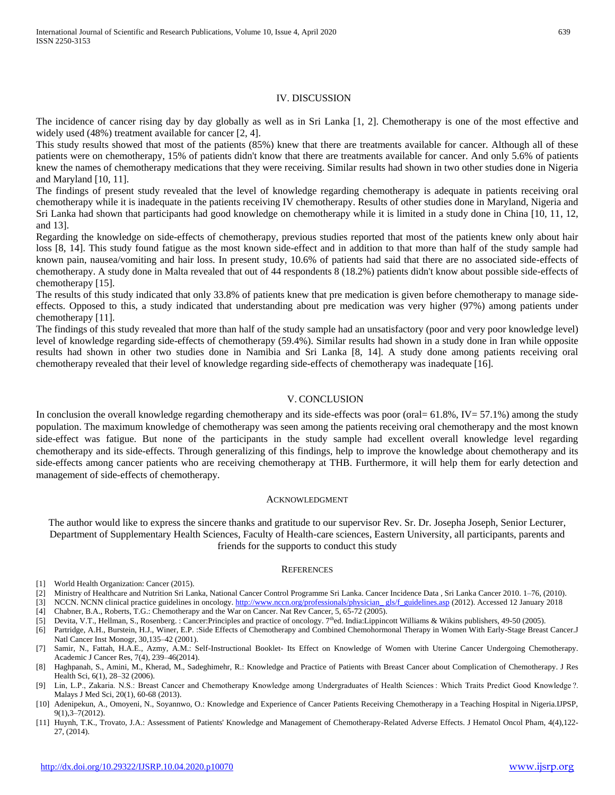### IV. DISCUSSION

The incidence of cancer rising day by day globally as well as in Sri Lanka [1, 2]. Chemotherapy is one of the most effective and widely used (48%) treatment available for cancer [2, 4].

This study results showed that most of the patients (85%) knew that there are treatments available for cancer. Although all of these patients were on chemotherapy, 15% of patients didn't know that there are treatments available for cancer. And only 5.6% of patients knew the names of chemotherapy medications that they were receiving. Similar results had shown in two other studies done in Nigeria and Maryland [10, 11].

The findings of present study revealed that the level of knowledge regarding chemotherapy is adequate in patients receiving oral chemotherapy while it is inadequate in the patients receiving IV chemotherapy. Results of other studies done in Maryland, Nigeria and Sri Lanka had shown that participants had good knowledge on chemotherapy while it is limited in a study done in China [10, 11, 12, and 13].

Regarding the knowledge on side-effects of chemotherapy, previous studies reported that most of the patients knew only about hair loss [8, 14]. This study found fatigue as the most known side-effect and in addition to that more than half of the study sample had known pain, nausea/vomiting and hair loss. In present study, 10.6% of patients had said that there are no associated side-effects of chemotherapy. A study done in Malta revealed that out of 44 respondents 8 (18.2%) patients didn't know about possible side-effects of chemotherapy [15].

The results of this study indicated that only 33.8% of patients knew that pre medication is given before chemotherapy to manage sideeffects. Opposed to this, a study indicated that understanding about pre medication was very higher (97%) among patients under chemotherapy [11].

The findings of this study revealed that more than half of the study sample had an unsatisfactory (poor and very poor knowledge level) level of knowledge regarding side-effects of chemotherapy (59.4%). Similar results had shown in a study done in Iran while opposite results had shown in other two studies done in Namibia and Sri Lanka [8, 14]. A study done among patients receiving oral chemotherapy revealed that their level of knowledge regarding side-effects of chemotherapy was inadequate [16].

## V. CONCLUSION

In conclusion the overall knowledge regarding chemotherapy and its side-effects was poor (oral= 61.8%, IV= 57.1%) among the study population. The maximum knowledge of chemotherapy was seen among the patients receiving oral chemotherapy and the most known side-effect was fatigue. But none of the participants in the study sample had excellent overall knowledge level regarding chemotherapy and its side-effects. Through generalizing of this findings, help to improve the knowledge about chemotherapy and its side-effects among cancer patients who are receiving chemotherapy at THB. Furthermore, it will help them for early detection and management of side-effects of chemotherapy.

#### ACKNOWLEDGMENT

The author would like to express the sincere thanks and gratitude to our supervisor Rev. Sr. Dr. Josepha Joseph, Senior Lecturer, Department of Supplementary Health Sciences, Faculty of Health-care sciences, Eastern University, all participants, parents and friends for the supports to conduct this study

#### **REFERENCES**

- [1] World Health Organization: Cancer (2015).
- [2] Ministry of Healthcare and Nutrition Sri Lanka, National Cancer Control Programme Sri Lanka. Cancer Incidence Data , Sri Lanka Cancer 2010. 1–76, (2010).
- [3] NCCN. NCNN clinical practice guidelines in oncology. http://www.nccn.org/professionals/physician\_gls/f\_guidelines.asp (2012). Accessed 12 January 2018
- [4] Chabner, B.A., Roberts, T.G.: Chemotherapy and the War on Cancer. Nat Rev Cancer, 5, 65-72 (2005).
- [5] Devita, V.T., Hellman, S., Rosenberg. : Cancer:Principles and practice of oncology. 7<sup>th</sup>ed. India:Lippincott Williams & Wikins publishers, 49-50 (2005).
- [6] Partridge, A.H., Burstein, H.J., Winer, E.P. :Side Effects of Chemotherapy and Combined Chemohormonal Therapy in Women With Early-Stage Breast Cancer.J Natl Cancer Inst Monogr, 30,135–42 (2001).
- [7] Samir, N., Fattah, H.A.E., Azmy, A.M.: Self-Instructional Booklet- Its Effect on Knowledge of Women with Uterine Cancer Undergoing Chemotherapy. Academic J Cancer Res, 7(4), 239–46(2014).
- [8] Haghpanah, S., Amini, M., Kherad, M., Sadeghimehr, R.: Knowledge and Practice of Patients with Breast Cancer about Complication of Chemotherapy. J Res Health Sci, 6(1), 28–32 (2006).
- [9] Lin, L.P., Zakaria. N.S.: Breast Cancer and Chemotherapy Knowledge among Undergraduates of Health Sciences : Which Traits Predict Good Knowledge ?. Malays J Med Sci, 20(1), 60-68 (2013).
- [10] Adenipekun, A., Omoyeni, N., Soyannwo, O.: Knowledge and Experience of Cancer Patients Receiving Chemotherapy in a Teaching Hospital in Nigeria.IJPSP, 9(1),3–7(2012).
- [11] Huynh, T.K., Trovato, J.A.: Assessment of Patients' Knowledge and Management of Chemotherapy-Related Adverse Effects. J Hematol Oncol Pham, 4(4),122- 27, (2014).